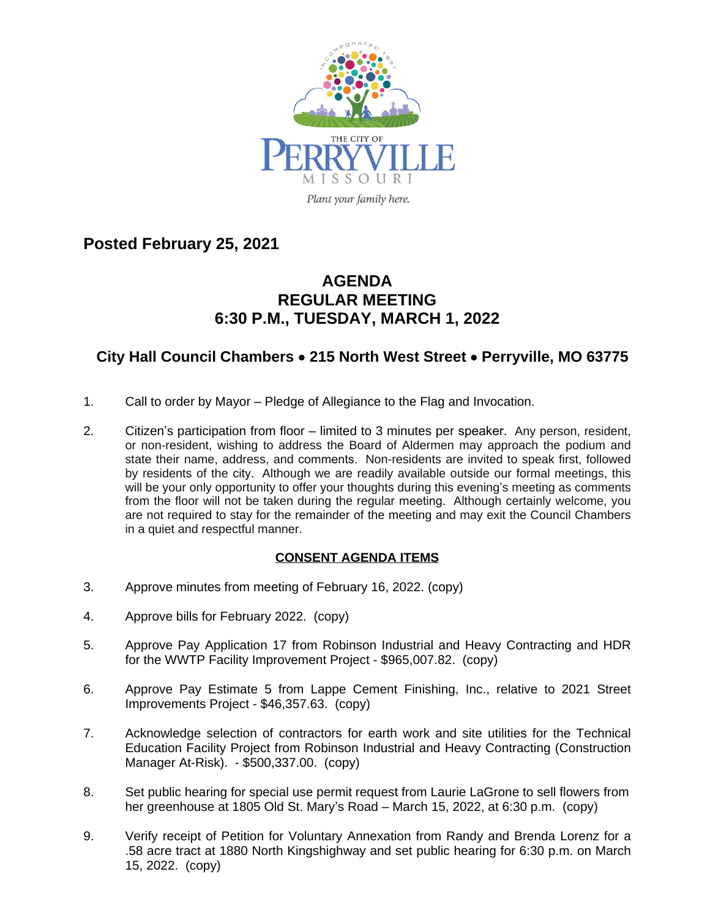

**Posted February 25, 2021**

## **AGENDA REGULAR MEETING 6:30 P.M., TUESDAY, MARCH 1, 2022**

## **City Hall Council Chambers** · **215 North West Street** · **Perryville, MO 63775**

- 1. Call to order by Mayor Pledge of Allegiance to the Flag and Invocation.
- 2. Citizen's participation from floor limited to 3 minutes per speaker. Any person, resident, or non-resident, wishing to address the Board of Aldermen may approach the podium and state their name, address, and comments. Non-residents are invited to speak first, followed by residents of the city. Although we are readily available outside our formal meetings, this will be your only opportunity to offer your thoughts during this evening's meeting as comments from the floor will not be taken during the regular meeting. Although certainly welcome, you are not required to stay for the remainder of the meeting and may exit the Council Chambers in a quiet and respectful manner.

## **CONSENT AGENDA ITEMS**

- 3. Approve minutes from meeting of February 16, 2022. (copy)
- 4. Approve bills for February 2022. (copy)
- 5. Approve Pay Application 17 from Robinson Industrial and Heavy Contracting and HDR for the WWTP Facility Improvement Project - \$965,007.82. (copy)
- 6. Approve Pay Estimate 5 from Lappe Cement Finishing, Inc., relative to 2021 Street Improvements Project - \$46,357.63. (copy)
- 7. Acknowledge selection of contractors for earth work and site utilities for the Technical Education Facility Project from Robinson Industrial and Heavy Contracting (Construction Manager At-Risk). - \$500,337.00. (copy)
- 8. Set public hearing for special use permit request from Laurie LaGrone to sell flowers from her greenhouse at 1805 Old St. Mary's Road – March 15, 2022, at 6:30 p.m. (copy)
- 9. Verify receipt of Petition for Voluntary Annexation from Randy and Brenda Lorenz for a .58 acre tract at 1880 North Kingshighway and set public hearing for 6:30 p.m. on March 15, 2022. (copy)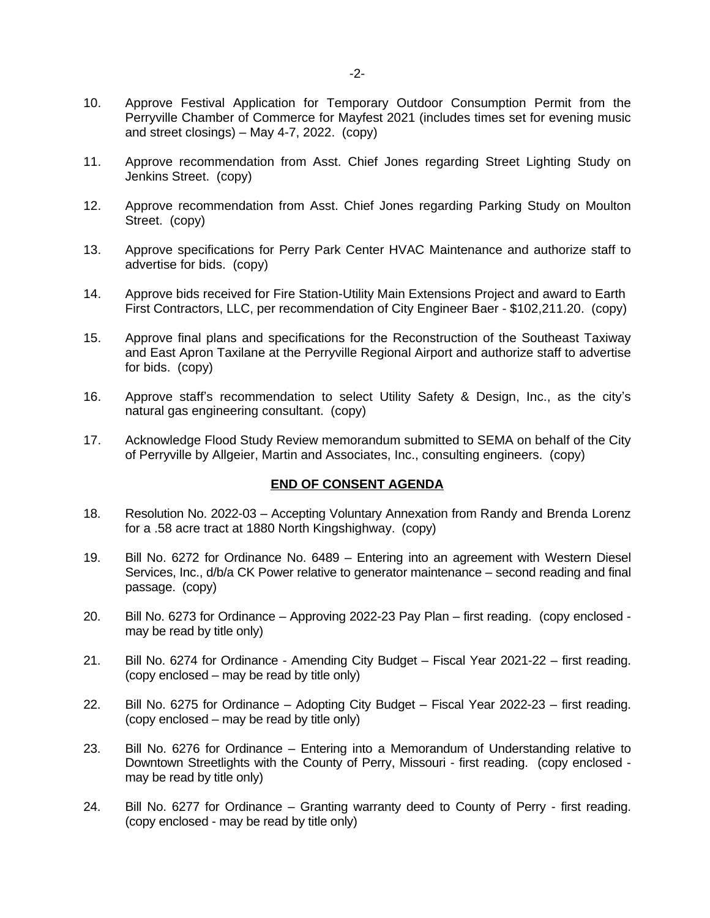- 10. Approve Festival Application for Temporary Outdoor Consumption Permit from the Perryville Chamber of Commerce for Mayfest 2021 (includes times set for evening music and street closings) – May 4-7, 2022. (copy)
- 11. Approve recommendation from Asst. Chief Jones regarding Street Lighting Study on Jenkins Street. (copy)
- 12. Approve recommendation from Asst. Chief Jones regarding Parking Study on Moulton Street. (copy)
- 13. Approve specifications for Perry Park Center HVAC Maintenance and authorize staff to advertise for bids. (copy)
- 14. Approve bids received for Fire Station-Utility Main Extensions Project and award to Earth First Contractors, LLC, per recommendation of City Engineer Baer - \$102,211.20. (copy)
- 15. Approve final plans and specifications for the Reconstruction of the Southeast Taxiway and East Apron Taxilane at the Perryville Regional Airport and authorize staff to advertise for bids. (copy)
- 16. Approve staff's recommendation to select Utility Safety & Design, Inc., as the city's natural gas engineering consultant. (copy)
- 17. Acknowledge Flood Study Review memorandum submitted to SEMA on behalf of the City of Perryville by Allgeier, Martin and Associates, Inc., consulting engineers. (copy)

## **END OF CONSENT AGENDA**

- 18. Resolution No. 2022-03 Accepting Voluntary Annexation from Randy and Brenda Lorenz for a .58 acre tract at 1880 North Kingshighway. (copy)
- 19. Bill No. 6272 for Ordinance No. 6489 Entering into an agreement with Western Diesel Services, Inc., d/b/a CK Power relative to generator maintenance – second reading and final passage. (copy)
- 20. Bill No. 6273 for Ordinance Approving 2022-23 Pay Plan first reading. (copy enclosed may be read by title only)
- 21. Bill No. 6274 for Ordinance Amending City Budget Fiscal Year 2021-22 first reading. (copy enclosed – may be read by title only)
- 22. Bill No. 6275 for Ordinance Adopting City Budget Fiscal Year 2022-23 first reading. (copy enclosed – may be read by title only)
- 23. Bill No. 6276 for Ordinance Entering into a Memorandum of Understanding relative to Downtown Streetlights with the County of Perry, Missouri - first reading. (copy enclosed may be read by title only)
- 24. Bill No. 6277 for Ordinance Granting warranty deed to County of Perry first reading. (copy enclosed - may be read by title only)